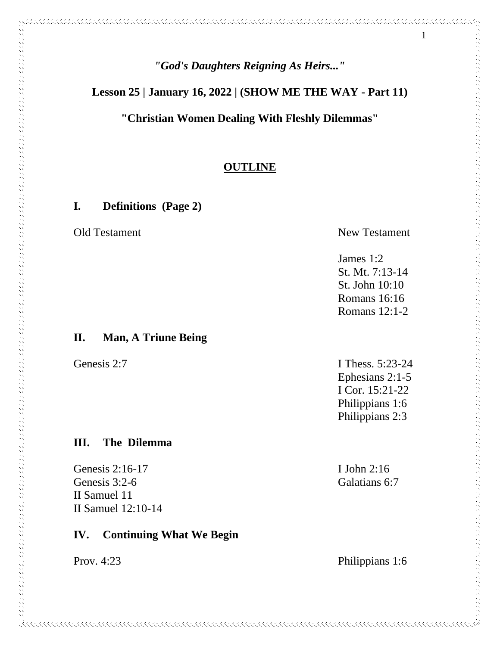1

**Lesson 25 | January 16, 2022 | (SHOW ME THE WAY - Part 11)**

**"Christian Women Dealing With Fleshly Dilemmas"**

### **OUTLINE**

KKKKKKKKKKKKKKKKKKKKKKKKKKKKKKKKKKK

**I. Definitions (Page 2)**

Old Testament New Testament

#### **II. Man, A Triune Being**

#### **III. The Dilemma**

Genesis 2:16-17 I John 2:16 Genesis 3:2-6 Galatians 6:7 II Samuel 11 II Samuel 12:10-14

### **IV. Continuing What We Begin**

Genesis 2:7 **I Thess.** 5:23-24 Ephesians 2:1-5 I Cor. 15:21-22 Philippians 1:6 Philippians 2:3

James 1:2

St. Mt. 7:13-14 St. John 10:10 Romans 16:16 Romans 12:1-2

Prov. 4:23 Philippians 1:6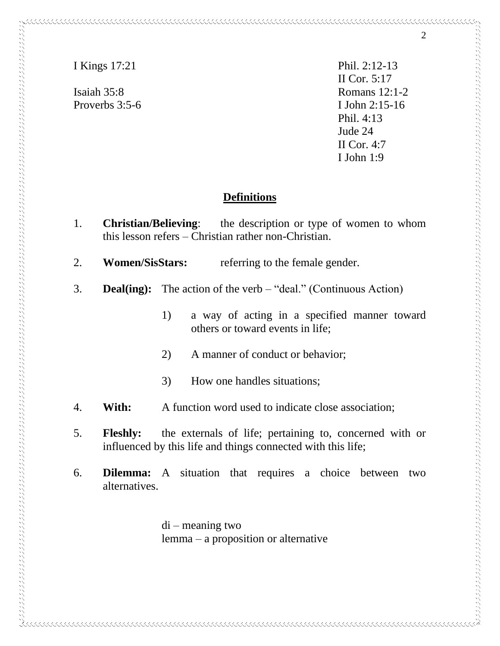Proverbs 3:5-6 I John 2:15-16

I Kings 17:21 Phil. 2:12-13 II Cor. 5:17 Isaiah 35:8 Romans 12:1-2 Phil. 4:13 Jude 24 II Cor. 4:7 I John 1:9

# **Definitions**

- 1. **Christian/Believing**: the description or type of women to whom this lesson refers – Christian rather non-Christian.
- 2. **Women/SisStars:** referring to the female gender.
- 3. **Deal(ing):** The action of the verb "deal." (Continuous Action)
	- 1) a way of acting in a specified manner toward others or toward events in life;
	- 2) A manner of conduct or behavior;
	- 3) How one handles situations;
- 4. **With:** A function word used to indicate close association;
- 5. **Fleshly:** the externals of life; pertaining to, concerned with or influenced by this life and things connected with this life;
- 6. **Dilemma:** A situation that requires a choice between two alternatives.

di – meaning two lemma – a proposition or alternative